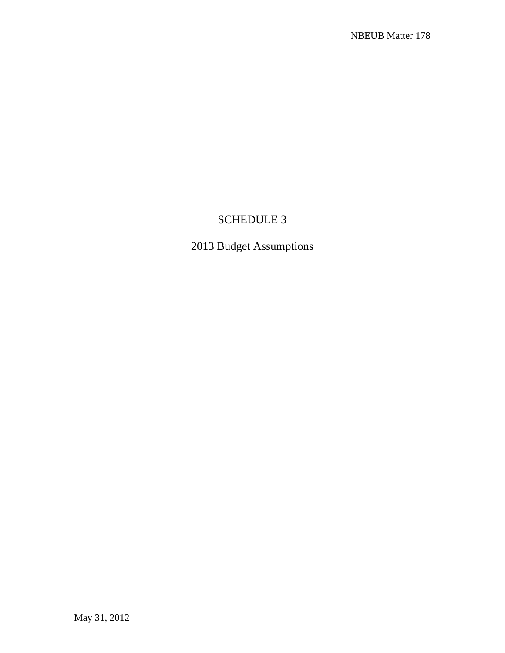## SCHEDULE 3

## 2013 Budget Assumptions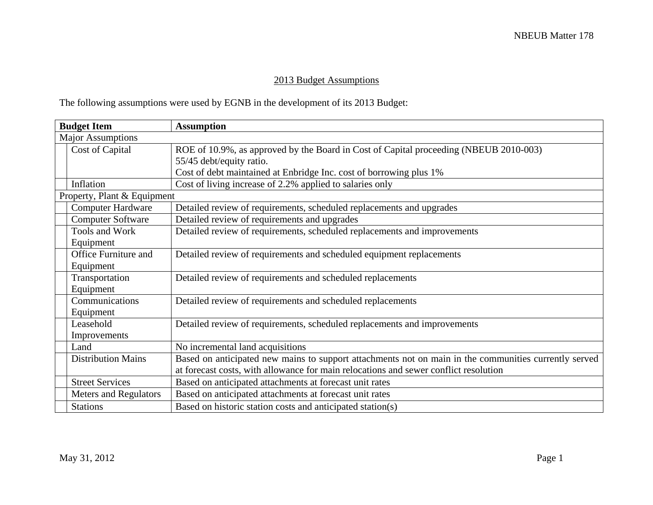## 2013 Budget Assumptions

The following assumptions were used by EGNB in the development of its 2013 Budget:

| <b>Budget Item</b>                                                                                       | <b>Assumption</b>                                                                                     |  |  |  |
|----------------------------------------------------------------------------------------------------------|-------------------------------------------------------------------------------------------------------|--|--|--|
| <b>Major Assumptions</b>                                                                                 |                                                                                                       |  |  |  |
| Cost of Capital<br>ROE of 10.9%, as approved by the Board in Cost of Capital proceeding (NBEUB 2010-003) |                                                                                                       |  |  |  |
|                                                                                                          | 55/45 debt/equity ratio.                                                                              |  |  |  |
|                                                                                                          | Cost of debt maintained at Enbridge Inc. cost of borrowing plus 1%                                    |  |  |  |
| Inflation                                                                                                | Cost of living increase of 2.2% applied to salaries only                                              |  |  |  |
| Property, Plant & Equipment                                                                              |                                                                                                       |  |  |  |
| <b>Computer Hardware</b>                                                                                 | Detailed review of requirements, scheduled replacements and upgrades                                  |  |  |  |
| <b>Computer Software</b>                                                                                 | Detailed review of requirements and upgrades                                                          |  |  |  |
| Tools and Work                                                                                           | Detailed review of requirements, scheduled replacements and improvements                              |  |  |  |
| Equipment                                                                                                |                                                                                                       |  |  |  |
| <b>Office Furniture and</b>                                                                              | Detailed review of requirements and scheduled equipment replacements                                  |  |  |  |
| Equipment                                                                                                |                                                                                                       |  |  |  |
| Transportation                                                                                           | Detailed review of requirements and scheduled replacements                                            |  |  |  |
| Equipment                                                                                                |                                                                                                       |  |  |  |
| Communications                                                                                           | Detailed review of requirements and scheduled replacements                                            |  |  |  |
| Equipment                                                                                                |                                                                                                       |  |  |  |
| Leasehold                                                                                                | Detailed review of requirements, scheduled replacements and improvements                              |  |  |  |
| Improvements                                                                                             |                                                                                                       |  |  |  |
| Land                                                                                                     | No incremental land acquisitions                                                                      |  |  |  |
| <b>Distribution Mains</b>                                                                                | Based on anticipated new mains to support attachments not on main in the communities currently served |  |  |  |
|                                                                                                          | at forecast costs, with allowance for main relocations and sewer conflict resolution                  |  |  |  |
| <b>Street Services</b>                                                                                   | Based on anticipated attachments at forecast unit rates                                               |  |  |  |
| <b>Meters and Regulators</b>                                                                             | Based on anticipated attachments at forecast unit rates                                               |  |  |  |
| <b>Stations</b>                                                                                          | Based on historic station costs and anticipated station(s)                                            |  |  |  |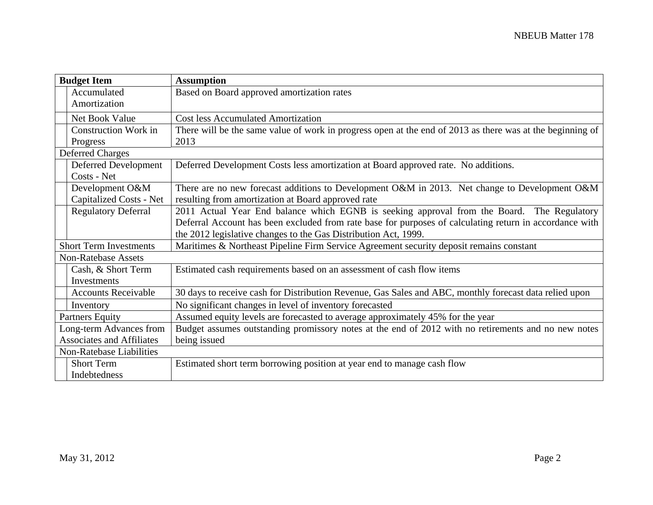|                                  | <b>Budget Item</b>          | <b>Assumption</b>                                                                                         |
|----------------------------------|-----------------------------|-----------------------------------------------------------------------------------------------------------|
|                                  | Accumulated                 | Based on Board approved amortization rates                                                                |
|                                  | Amortization                |                                                                                                           |
|                                  | Net Book Value              | <b>Cost less Accumulated Amortization</b>                                                                 |
|                                  | <b>Construction Work in</b> | There will be the same value of work in progress open at the end of 2013 as there was at the beginning of |
|                                  | Progress                    | 2013                                                                                                      |
|                                  | <b>Deferred Charges</b>     |                                                                                                           |
|                                  | Deferred Development        | Deferred Development Costs less amortization at Board approved rate. No additions.                        |
|                                  | Costs - Net                 |                                                                                                           |
|                                  | Development O&M             | There are no new forecast additions to Development O&M in 2013. Net change to Development O&M             |
|                                  | Capitalized Costs - Net     | resulting from amortization at Board approved rate                                                        |
|                                  | <b>Regulatory Deferral</b>  | 2011 Actual Year End balance which EGNB is seeking approval from the Board. The Regulatory                |
|                                  |                             | Deferral Account has been excluded from rate base for purposes of calculating return in accordance with   |
|                                  |                             | the 2012 legislative changes to the Gas Distribution Act, 1999.                                           |
| <b>Short Term Investments</b>    |                             | Maritimes & Northeast Pipeline Firm Service Agreement security deposit remains constant                   |
| <b>Non-Ratebase Assets</b>       |                             |                                                                                                           |
|                                  | Cash, & Short Term          | Estimated cash requirements based on an assessment of cash flow items                                     |
|                                  | Investments                 |                                                                                                           |
|                                  | <b>Accounts Receivable</b>  | 30 days to receive cash for Distribution Revenue, Gas Sales and ABC, monthly forecast data relied upon    |
|                                  | Inventory                   | No significant changes in level of inventory forecasted                                                   |
|                                  | <b>Partners Equity</b>      | Assumed equity levels are forecasted to average approximately 45% for the year                            |
|                                  | Long-term Advances from     | Budget assumes outstanding promissory notes at the end of 2012 with no retirements and no new notes       |
| <b>Associates and Affiliates</b> |                             | being issued                                                                                              |
|                                  | Non-Ratebase Liabilities    |                                                                                                           |
|                                  | <b>Short Term</b>           | Estimated short term borrowing position at year end to manage cash flow                                   |
|                                  | Indebtedness                |                                                                                                           |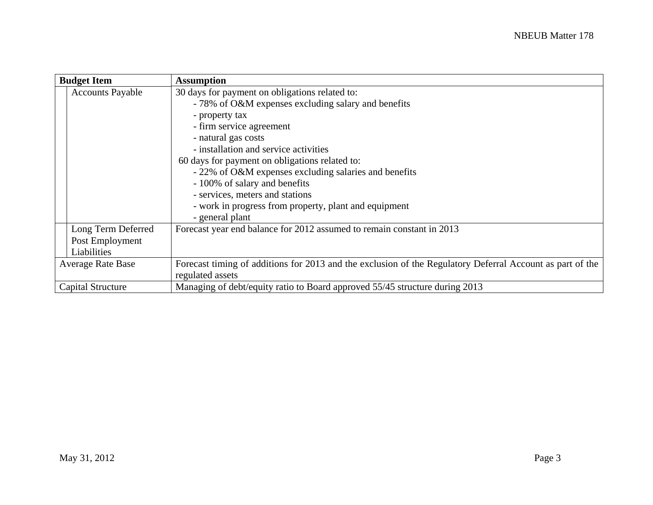|                          | <b>Budget Item</b>       | <b>Assumption</b>                                                                                         |  |  |  |  |  |
|--------------------------|--------------------------|-----------------------------------------------------------------------------------------------------------|--|--|--|--|--|
|                          | <b>Accounts Payable</b>  | 30 days for payment on obligations related to:                                                            |  |  |  |  |  |
|                          |                          | - 78% of O&M expenses excluding salary and benefits                                                       |  |  |  |  |  |
|                          |                          | - property tax                                                                                            |  |  |  |  |  |
|                          |                          | - firm service agreement                                                                                  |  |  |  |  |  |
|                          |                          | - natural gas costs                                                                                       |  |  |  |  |  |
|                          |                          | - installation and service activities                                                                     |  |  |  |  |  |
|                          |                          | 60 days for payment on obligations related to:                                                            |  |  |  |  |  |
|                          |                          | - 22% of O&M expenses excluding salaries and benefits                                                     |  |  |  |  |  |
|                          |                          | - 100% of salary and benefits                                                                             |  |  |  |  |  |
|                          |                          | - services, meters and stations                                                                           |  |  |  |  |  |
|                          |                          | - work in progress from property, plant and equipment                                                     |  |  |  |  |  |
|                          |                          | - general plant                                                                                           |  |  |  |  |  |
|                          | Long Term Deferred       | Forecast year end balance for 2012 assumed to remain constant in 2013                                     |  |  |  |  |  |
|                          | Post Employment          |                                                                                                           |  |  |  |  |  |
|                          | Liabilities              |                                                                                                           |  |  |  |  |  |
| <b>Average Rate Base</b> |                          | Forecast timing of additions for 2013 and the exclusion of the Regulatory Deferral Account as part of the |  |  |  |  |  |
|                          |                          | regulated assets                                                                                          |  |  |  |  |  |
|                          | <b>Capital Structure</b> | Managing of debt/equity ratio to Board approved 55/45 structure during 2013                               |  |  |  |  |  |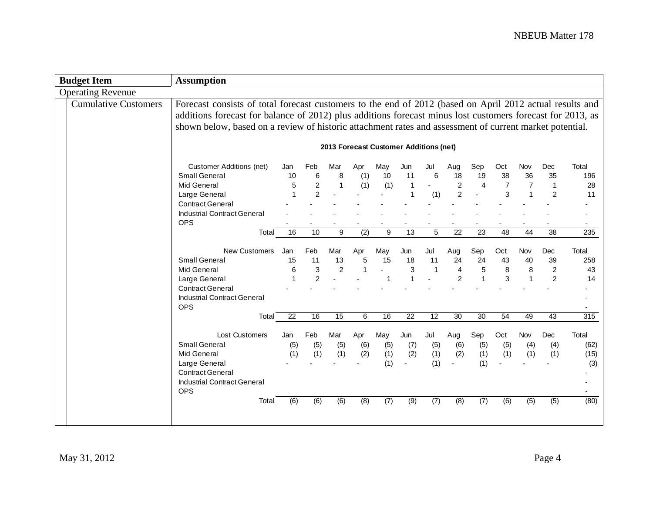| <b>Budget Item</b>          | <b>Assumption</b>                                                                                                                                                                                                                                                                                                                 |                                             |                                                                             |                                                                |                                                                     |                                                                   |                                                             |                                                   |                                                                                |                                                     |                                             |                                        |                                                                       |                                                       |
|-----------------------------|-----------------------------------------------------------------------------------------------------------------------------------------------------------------------------------------------------------------------------------------------------------------------------------------------------------------------------------|---------------------------------------------|-----------------------------------------------------------------------------|----------------------------------------------------------------|---------------------------------------------------------------------|-------------------------------------------------------------------|-------------------------------------------------------------|---------------------------------------------------|--------------------------------------------------------------------------------|-----------------------------------------------------|---------------------------------------------|----------------------------------------|-----------------------------------------------------------------------|-------------------------------------------------------|
| <b>Operating Revenue</b>    |                                                                                                                                                                                                                                                                                                                                   |                                             |                                                                             |                                                                |                                                                     |                                                                   |                                                             |                                                   |                                                                                |                                                     |                                             |                                        |                                                                       |                                                       |
| <b>Cumulative Customers</b> | Forecast consists of total forecast customers to the end of 2012 (based on April 2012 actual results and<br>additions forecast for balance of 2012) plus additions forecast minus lost customers forecast for 2013, as<br>shown below, based on a review of historic attachment rates and assessment of current market potential. |                                             |                                                                             |                                                                |                                                                     |                                                                   |                                                             |                                                   |                                                                                |                                                     |                                             |                                        |                                                                       |                                                       |
|                             |                                                                                                                                                                                                                                                                                                                                   |                                             |                                                                             |                                                                |                                                                     | 2013 Forecast Customer Additions (net)                            |                                                             |                                                   |                                                                                |                                                     |                                             |                                        |                                                                       |                                                       |
|                             | <b>Customer Additions (net)</b><br>Small General<br><b>Mid General</b><br>Large General<br><b>Contract General</b><br><b>Industrial Contract General</b><br><b>OPS</b><br>Total<br>New Customers<br>Small General<br><b>Mid General</b>                                                                                           | Jan<br>10<br>5<br>1<br>16<br>Jan<br>15<br>6 | Feb<br>6<br>$\sqrt{2}$<br>$\overline{2}$<br>10<br>Feb<br>11<br>$\mathbf{3}$ | Mar<br>8<br>$\overline{1}$<br>9<br>Mar<br>13<br>$\overline{2}$ | Apr<br>(1)<br>(1)<br>$\overline{(2)}$<br>Apr<br>5<br>$\overline{1}$ | May<br>10<br>(1)<br>9<br>May<br>15<br>$\mathcal{L}^{\mathcal{A}}$ | Jun<br>11<br>$\mathbf 1$<br>13<br>Jun<br>18<br>$\mathbf{3}$ | Jul<br>6<br>(1)<br>5<br>Jul<br>11<br>$\mathbf{1}$ | Aug<br>18<br>$\sqrt{2}$<br>$\overline{2}$<br>22<br>Aug<br>24<br>$\overline{4}$ | Sep<br>19<br>$\overline{4}$<br>23<br>Sep<br>24<br>5 | Oct<br>38<br>7<br>3<br>48<br>Oct<br>43<br>8 | Nov<br>36<br>7<br>44<br>Nov<br>40<br>8 | Dec<br>35<br>1<br>$\overline{2}$<br>38<br>Dec<br>39<br>$\overline{c}$ | Total<br>196<br>28<br>11<br>235<br>Total<br>258<br>43 |
|                             | Large General<br><b>Contract General</b><br><b>Industrial Contract General</b><br><b>OPS</b>                                                                                                                                                                                                                                      | 1                                           | $\overline{2}$                                                              |                                                                |                                                                     | 1                                                                 |                                                             |                                                   | $\overline{2}$                                                                 | $\mathbf{1}$                                        | 3                                           | $\overline{1}$                         | $\overline{c}$                                                        | 14                                                    |
|                             | Total<br><b>Lost Customers</b><br><b>Small General</b><br><b>Mid General</b><br>Large General<br><b>Contract General</b><br>Industrial Contract General<br><b>OPS</b><br>Total                                                                                                                                                    | 22<br>Jan<br>(5)<br>(1)<br>(6)              | 16<br>Feb<br>(5)<br>(1)<br>(6)                                              | 15<br>Mar<br>(5)<br>(1)<br>(6)                                 | 6<br>Apr<br>(6)<br>(2)<br>(8)                                       | 16<br>May<br>(5)<br>(1)<br>(1)<br>(7)                             | 22<br>Jun<br>(7)<br>(2)<br>(9)                              | 12<br>Jul<br>(5)<br>(1)<br>(1)<br>(7)             | 30<br>Aug<br>(6)<br>(2)<br>(8)                                                 | 30<br>Sep<br>(5)<br>(1)<br>(1)<br>(7)               | 54<br>Oct<br>(5)<br>(1)<br>(6)              | 49<br>Nov<br>(4)<br>(1)<br>(5)         | 43<br>Dec<br>(4)<br>(1)<br>(5)                                        | 315<br>Total<br>(62)<br>(15)<br>(3)<br>(80)           |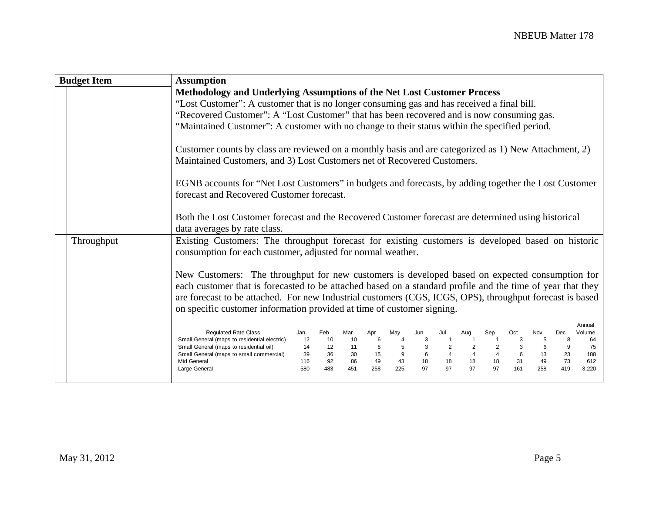| <b>Budget Item</b> | <b>Assumption</b>                                                                                                                                                                                                                                                                                                                                                                                                                                                                                                                                                                                                                                                                                                                                                                                                                                                                                                                                                                                                                                                                                                                                                                                                                                                                            |  |  |  |  |  |
|--------------------|----------------------------------------------------------------------------------------------------------------------------------------------------------------------------------------------------------------------------------------------------------------------------------------------------------------------------------------------------------------------------------------------------------------------------------------------------------------------------------------------------------------------------------------------------------------------------------------------------------------------------------------------------------------------------------------------------------------------------------------------------------------------------------------------------------------------------------------------------------------------------------------------------------------------------------------------------------------------------------------------------------------------------------------------------------------------------------------------------------------------------------------------------------------------------------------------------------------------------------------------------------------------------------------------|--|--|--|--|--|
|                    | Methodology and Underlying Assumptions of the Net Lost Customer Process<br>"Lost Customer": A customer that is no longer consuming gas and has received a final bill.<br>"Recovered Customer": A "Lost Customer" that has been recovered and is now consuming gas.<br>"Maintained Customer": A customer with no change to their status within the specified period.<br>Customer counts by class are reviewed on a monthly basis and are categorized as 1) New Attachment, 2)<br>Maintained Customers, and 3) Lost Customers net of Recovered Customers.<br>EGNB accounts for "Net Lost Customers" in budgets and forecasts, by adding together the Lost Customer<br>forecast and Recovered Customer forecast.<br>Both the Lost Customer forecast and the Recovered Customer forecast are determined using historical<br>data averages by rate class.                                                                                                                                                                                                                                                                                                                                                                                                                                         |  |  |  |  |  |
| Throughput         | Existing Customers: The throughput forecast for existing customers is developed based on historic<br>consumption for each customer, adjusted for normal weather.<br>New Customers: The throughput for new customers is developed based on expected consumption for<br>each customer that is forecasted to be attached based on a standard profile and the time of year that they<br>are forecast to be attached. For new Industrial customers (CGS, ICGS, OPS), throughput forecast is based<br>on specific customer information provided at time of customer signing.<br>Annual<br><b>Regulated Rate Class</b><br>Feb<br>Nov<br>Dec<br>Mar<br>May<br>Jun<br>Jul<br>Aug<br>Sep<br>Oct<br>Volume<br>Jan<br>Apr<br>Small General (maps to residential electric)<br>64<br>12<br>10<br>10<br>6<br>3<br>$\overline{1}$<br>5<br>8<br>3<br>Small General (maps to residential oil)<br>3<br>12<br>11<br>9<br>75<br>14<br>8<br>3<br>6<br>5<br>$\overline{4}$<br>$\overline{4}$<br>6<br>15<br>$\overline{4}$<br>13<br>Small General (maps to small commercial)<br>36<br>30<br>23<br>188<br>39<br>73<br>92<br>86<br>49<br>43<br>18<br>18<br>18<br>31<br>49<br>612<br>Mid General<br>116<br>18<br>97<br>97<br>97<br>97<br>451<br>258<br>225<br>161<br>258<br>419<br>3,220<br>Large General<br>580<br>483 |  |  |  |  |  |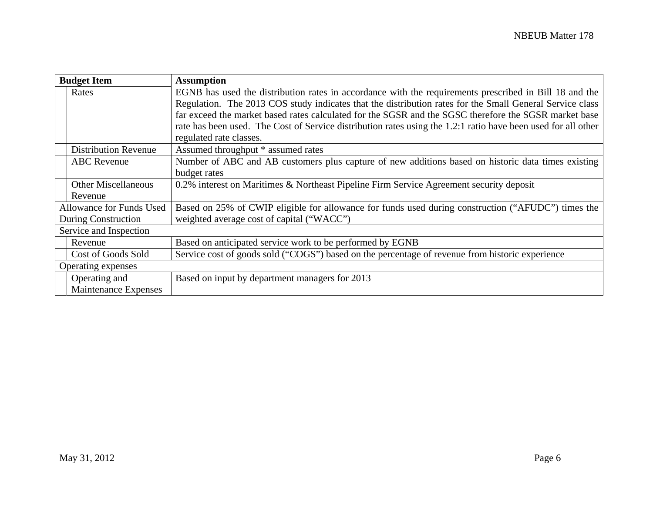| <b>Budget Item</b>          | <b>Assumption</b>                                                                                             |  |  |  |  |  |
|-----------------------------|---------------------------------------------------------------------------------------------------------------|--|--|--|--|--|
| Rates                       | EGNB has used the distribution rates in accordance with the requirements prescribed in Bill 18 and the        |  |  |  |  |  |
|                             | Regulation. The 2013 COS study indicates that the distribution rates for the Small General Service class      |  |  |  |  |  |
|                             | far exceed the market based rates calculated for the SGSR and the SGSC therefore the SGSR market base         |  |  |  |  |  |
|                             | rate has been used. The Cost of Service distribution rates using the 1.2:1 ratio have been used for all other |  |  |  |  |  |
|                             | regulated rate classes.                                                                                       |  |  |  |  |  |
| <b>Distribution Revenue</b> | Assumed throughput * assumed rates                                                                            |  |  |  |  |  |
| <b>ABC</b> Revenue          | Number of ABC and AB customers plus capture of new additions based on historic data times existing            |  |  |  |  |  |
|                             | budget rates                                                                                                  |  |  |  |  |  |
| <b>Other Miscellaneous</b>  | 0.2% interest on Maritimes & Northeast Pipeline Firm Service Agreement security deposit                       |  |  |  |  |  |
| Revenue                     |                                                                                                               |  |  |  |  |  |
| Allowance for Funds Used    | Based on 25% of CWIP eligible for allowance for funds used during construction ("AFUDC") times the            |  |  |  |  |  |
| During Construction         | weighted average cost of capital ("WACC")                                                                     |  |  |  |  |  |
| Service and Inspection      |                                                                                                               |  |  |  |  |  |
| Revenue                     | Based on anticipated service work to be performed by EGNB                                                     |  |  |  |  |  |
| Cost of Goods Sold          | Service cost of goods sold ("COGS") based on the percentage of revenue from historic experience               |  |  |  |  |  |
| Operating expenses          |                                                                                                               |  |  |  |  |  |
| Operating and               | Based on input by department managers for 2013                                                                |  |  |  |  |  |
| Maintenance Expenses        |                                                                                                               |  |  |  |  |  |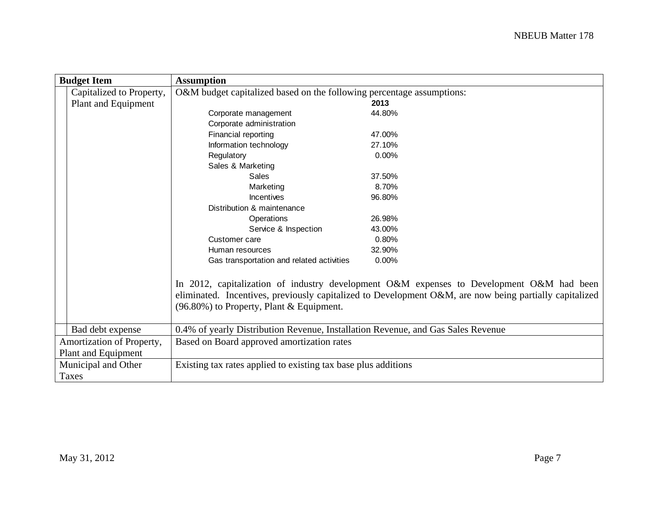| <b>Budget Item</b>        | <b>Assumption</b>                                                                |                                                                                                        |  |  |  |  |
|---------------------------|----------------------------------------------------------------------------------|--------------------------------------------------------------------------------------------------------|--|--|--|--|
| Capitalized to Property,  | O&M budget capitalized based on the following percentage assumptions:            |                                                                                                        |  |  |  |  |
| Plant and Equipment       |                                                                                  | 2013                                                                                                   |  |  |  |  |
|                           | Corporate management                                                             | 44.80%                                                                                                 |  |  |  |  |
|                           | Corporate administration                                                         |                                                                                                        |  |  |  |  |
|                           | Financial reporting                                                              | 47.00%                                                                                                 |  |  |  |  |
|                           | Information technology                                                           | 27.10%                                                                                                 |  |  |  |  |
|                           | Regulatory                                                                       | 0.00%                                                                                                  |  |  |  |  |
|                           | Sales & Marketing                                                                |                                                                                                        |  |  |  |  |
|                           | Sales                                                                            | 37.50%                                                                                                 |  |  |  |  |
|                           | Marketing                                                                        | 8.70%                                                                                                  |  |  |  |  |
|                           | Incentives                                                                       | 96.80%                                                                                                 |  |  |  |  |
|                           | Distribution & maintenance                                                       |                                                                                                        |  |  |  |  |
|                           | Operations                                                                       | 26.98%                                                                                                 |  |  |  |  |
|                           | Service & Inspection                                                             | 43.00%                                                                                                 |  |  |  |  |
|                           | Customer care                                                                    | 0.80%                                                                                                  |  |  |  |  |
|                           | Human resources                                                                  | 32.90%                                                                                                 |  |  |  |  |
|                           | Gas transportation and related activities                                        | 0.00%                                                                                                  |  |  |  |  |
|                           |                                                                                  |                                                                                                        |  |  |  |  |
|                           |                                                                                  | In 2012, capitalization of industry development O&M expenses to Development O&M had been               |  |  |  |  |
|                           |                                                                                  | eliminated. Incentives, previously capitalized to Development O&M, are now being partially capitalized |  |  |  |  |
|                           | (96.80%) to Property, Plant & Equipment.                                         |                                                                                                        |  |  |  |  |
|                           |                                                                                  |                                                                                                        |  |  |  |  |
| Bad debt expense          | 0.4% of yearly Distribution Revenue, Installation Revenue, and Gas Sales Revenue |                                                                                                        |  |  |  |  |
| Amortization of Property, | Based on Board approved amortization rates                                       |                                                                                                        |  |  |  |  |
| Plant and Equipment       |                                                                                  |                                                                                                        |  |  |  |  |
| Municipal and Other       | Existing tax rates applied to existing tax base plus additions                   |                                                                                                        |  |  |  |  |
| Taxes                     |                                                                                  |                                                                                                        |  |  |  |  |